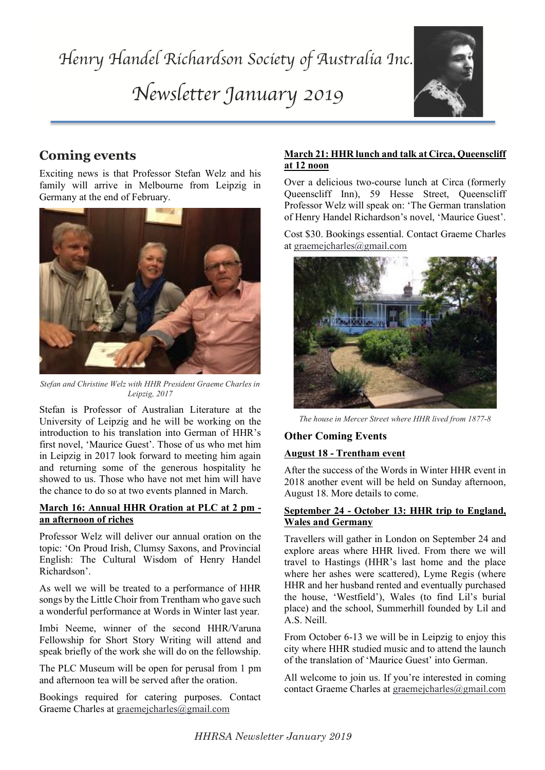

# **Coming events**

family will arrive in Melbourne from Leipzig in Germany at the end of Echryery. Exciting news is that Professor Stefan Welz and his Germany at the end of February.



*Stefan and Christine Welz with HHR President Graeme Charles in Leipzig, 2017*

Stefan is Professor of Australian Literature at the University of Leipzig and he will be working on the introduction to his translation into German of HHR's first novel, 'Maurice Guest'. Those of us who met him in Leipzig in 2017 look forward to meeting him again and returning some of the generous hospitality he showed to us. Those who have not met him will have the chance to do so at two events planned in March.

#### **March 16: Annual HHR Oration at PLC at 2 pm an afternoon of riches**

Professor Welz will deliver our annual oration on the topic: 'On Proud Irish, Clumsy Saxons, and Provincial English: The Cultural Wisdom of Henry Handel Richardson'.

As well we will be treated to a performance of HHR songs by the Little Choir from Trentham who gave such a wonderful performance at Words in Winter last year.

Imbi Neeme, winner of the second HHR/Varuna Fellowship for Short Story Writing will attend and speak briefly of the work she will do on the fellowship.

The PLC Museum will be open for perusal from 1 pm and afternoon tea will be served after the oration.

Bookings required for catering purposes. Contact Graeme Charles at graemejcharles@gmail.com

## **March 21: HHR lunch and talk at Circa, Queenscliff at 12 noon**

Over a delicious two-course lunch at Circa (formerly Queenscliff Inn), 59 Hesse Street, Queenscliff Professor Welz will speak on: 'The German translation of Henry Handel Richardson's novel, 'Maurice Guest'.

Cost \$30. Bookings essential. Contact Graeme Charles at graemejcharles@gmail.com



*The house in Mercer Street where HHR lived from 1877-8* 

## **Other Coming Events**

### **August 18 - Trentham event**

After the success of the Words in Winter HHR event in 2018 another event will be held on Sunday afternoon, August 18. More details to come.

#### **September 24 - October 13: HHR trip to England, Wales and Germany**

Travellers will gather in London on September 24 and explore areas where HHR lived. From there we will travel to Hastings (HHR's last home and the place where her ashes were scattered), Lyme Regis (where HHR and her husband rented and eventually purchased the house, 'Westfield'), Wales (to find Lil's burial place) and the school, Summerhill founded by Lil and A.S. Neill.

From October 6-13 we will be in Leipzig to enjoy this city where HHR studied music and to attend the launch of the translation of 'Maurice Guest' into German.

All welcome to join us. If you're interested in coming contact Graeme Charles at graemejcharles@gmail.com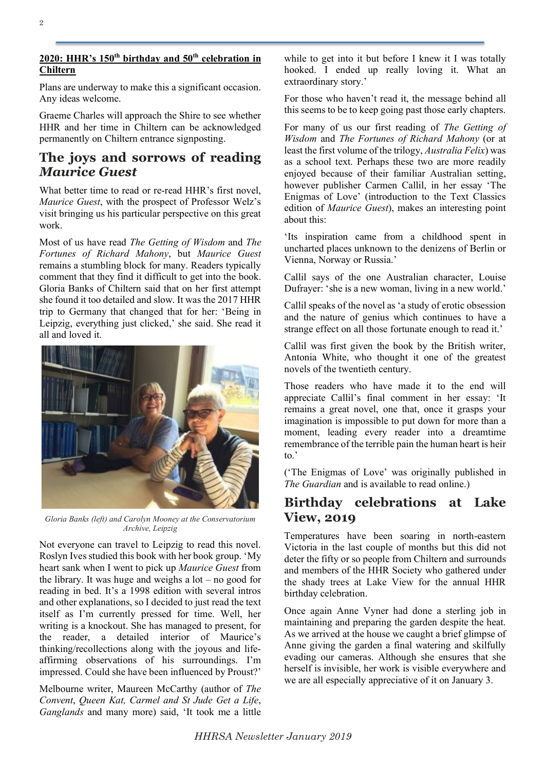### **2020: HHR's 150th birthday and 50th celebration in Chiltern**

Plans are underway to make this a significant occasion. Any ideas welcome.

Graeme Charles will approach the Shire to see whether HHR and her time in Chiltern can be acknowledged permanently on Chiltern entrance signposting.

## **The joys and sorrows of reading**  *Maurice Guest*

What better time to read or re-read HHR's first novel. *Maurice Guest*, with the prospect of Professor Welz's visit bringing us his particular perspective on this great work.

Most of us have read *The Getting of Wisdom* and *The Fortunes of Richard Mahony*, but *Maurice Guest* remains a stumbling block for many. Readers typically comment that they find it difficult to get into the book. Gloria Banks of Chiltern said that on her first attempt she found it too detailed and slow. It was the 2017 HHR trip to Germany that changed that for her: 'Being in Leipzig, everything just clicked,' she said. She read it all and loved it.



*Gloria Banks (left) and Carolyn Mooney at the Conservatorium Archive, Leipzig*

Not everyone can travel to Leipzig to read this novel. Roslyn Ives studied this book with her book group. 'My heart sank when I went to pick up *Maurice Guest* from the library. It was huge and weighs a  $\text{lot} - \text{no good for}$ reading in bed. It's a 1998 edition with several intros and other explanations, so I decided to just read the text itself as I'm currently pressed for time. Well, her writing is a knockout. She has managed to present, for the reader, a detailed interior of Maurice's thinking/recollections along with the joyous and lifeaffirming observations of his surroundings. I'm impressed. Could she have been influenced by Proust?'

Melbourne writer, Maureen McCarthy (author of *The Convent*, *Queen Kat, Carmel and St Jude Get a Life*, *Ganglands* and many more) said, 'It took me a little

while to get into it but before I knew it I was totally hooked. I ended up really loving it. What an extraordinary story.'

For those who haven't read it, the message behind all this seems to be to keep going past those early chapters.

For many of us our first reading of *The Getting of Wisdom* and *The Fortunes of Richard Mahony* (or at least the first volume of the trilogy, *Australia Felix*) was as a school text. Perhaps these two are more readily enjoyed because of their familiar Australian setting, however publisher Carmen Callil, in her essay 'The Enigmas of Love' (introduction to the Text Classics edition of *Maurice Guest*), makes an interesting point about this:

'Its inspiration came from a childhood spent in uncharted places unknown to the denizens of Berlin or Vienna, Norway or Russia.'

Callil says of the one Australian character, Louise Dufrayer: 'she is a new woman, living in a new world.'

Callil speaks of the novel as 'a study of erotic obsession and the nature of genius which continues to have a strange effect on all those fortunate enough to read it.'

Callil was first given the book by the British writer, Antonia White, who thought it one of the greatest novels of the twentieth century.

Those readers who have made it to the end will appreciate Callil's final comment in her essay: 'It remains a great novel, one that, once it grasps your imagination is impossible to put down for more than a moment, leading every reader into a dreamtime remembrance of the terrible pain the human heart is heir to.'

('The Enigmas of Love' was originally published in *The Guardian* and is available to read online.)

## **Birthday celebrations at Lake View, 2019**

Temperatures have been soaring in north-eastern Victoria in the last couple of months but this did not deter the fifty or so people from Chiltern and surrounds and members of the HHR Society who gathered under the shady trees at Lake View for the annual HHR birthday celebration.

Once again Anne Vyner had done a sterling job in maintaining and preparing the garden despite the heat. As we arrived at the house we caught a brief glimpse of Anne giving the garden a final watering and skilfully evading our cameras. Although she ensures that she herself is invisible, her work is visible everywhere and we are all especially appreciative of it on January 3.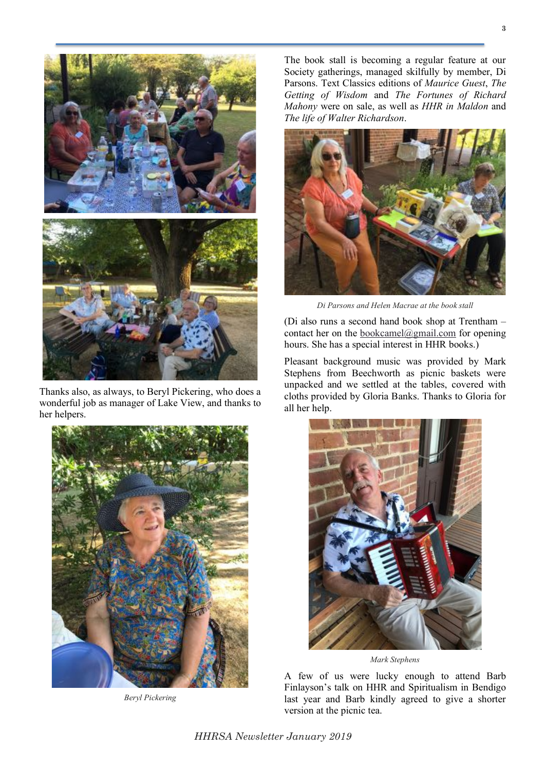

Thanks also, as always, to Beryl Pickering, who does a wonderful job as manager of Lake View, and thanks to her helpers.



*Beryl Pickering*

The book stall is becoming a regular feature at our Society gatherings, managed skilfully by member, Di Parsons. Text Classics editions of *Maurice Guest*, *The Getting of Wisdom* and *The Fortunes of Richard Mahony* were on sale, as well as *HHR in Maldon* and *The life of Walter Richardson*.



*Di Parsons and Helen Macrae at the book stall*

(Di also runs a second hand book shop at Trentham – contact her on the bookcamel@gmail.com for opening hours. She has a special interest in HHR books.)

Pleasant background music was provided by Mark Stephens from Beechworth as picnic baskets were unpacked and we settled at the tables, covered with cloths provided by Gloria Banks. Thanks to Gloria for all her help.



*Mark Stephens* 

A few of us were lucky enough to attend Barb Finlayson's talk on HHR and Spiritualism in Bendigo last year and Barb kindly agreed to give a shorter version at the picnic tea.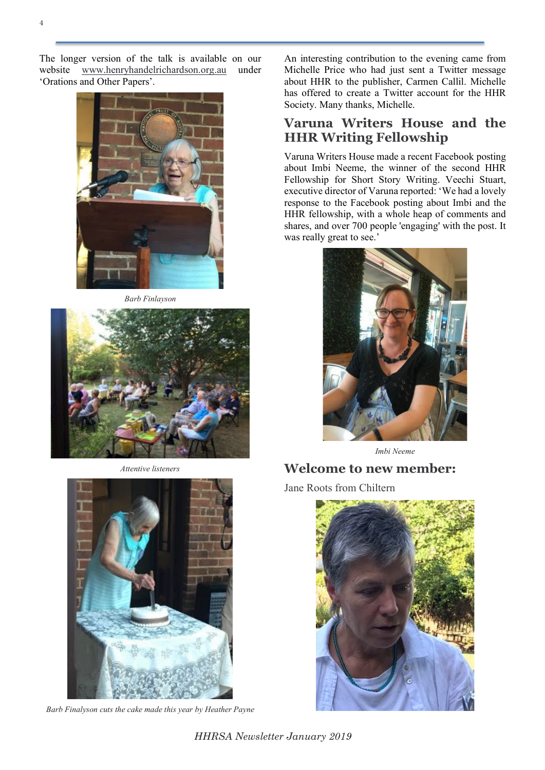The longer version of the talk is available on our website www.henryhandelrichardson.org.au under 'Orations and Other Papers'.



*Barb Finlayson*



*Attentive listeners*



*Barb Finalyson cuts the cake made this year by Heather Payne*

An interesting contribution to the evening came from Michelle Price who had just sent a Twitter message about HHR to the publisher, Carmen Callil. Michelle has offered to create a Twitter account for the HHR Society. Many thanks, Michelle.

## **Varuna Writers House and the HHR Writing Fellowship**

Varuna Writers House made a recent Facebook posting about Imbi Neeme, the winner of the second HHR Fellowship for Short Story Writing. Veechi Stuart, executive director of Varuna reported: 'We had a lovely response to the Facebook posting about Imbi and the HHR fellowship, with a whole heap of comments and shares, and over 700 people 'engaging' with the post. It was really great to see.'



*Imbi Neeme*

## **Welcome to new member:**

Jane Roots from Chiltern